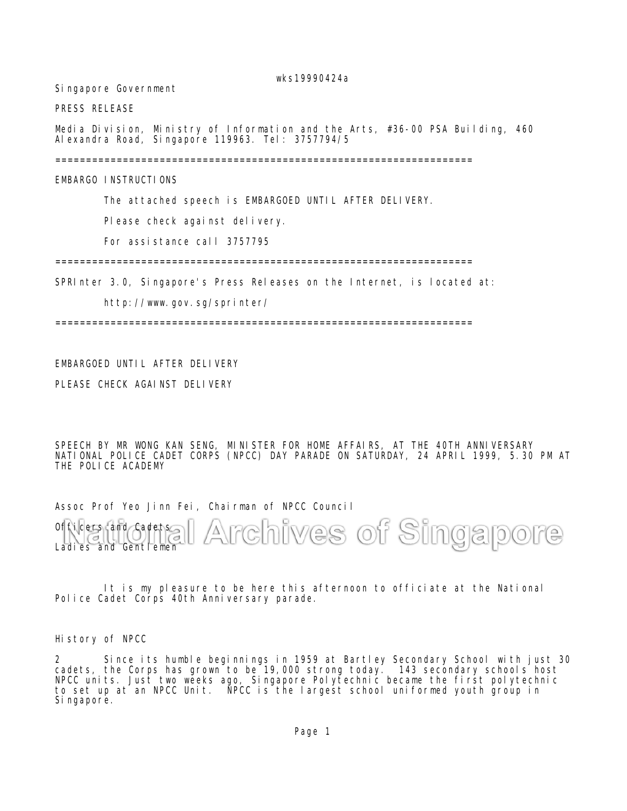wks19990424a

Singapore Government

PRESS RELEASE

Media Division, Ministry of Information and the Arts, #36-00 PSA Building, 460 Alexandra Road, Singapore 119963. Tel: 3757794/5

====================================================================

EMBARGO INSTRUCTIONS

The attached speech is EMBARGOED UNTIL AFTER DELIVERY.

Please check against delivery.

For assistance call 3757795

====================================================================

SPRInter 3.0, Singapore's Press Releases on the Internet, is located at:

http://www.gov.sg/sprinter/

====================================================================

## EMBARGOED UNTIL AFTER DELIVERY

PLEASE CHECK AGAINST DELIVERY

SPEECH BY MR WONG KAN SENG, MINISTER FOR HOME AFFAIRS, AT THE 40TH ANNIVERSARY NATIONAL POLICE CADET CORPS (NPCC) DAY PARADE ON SATURDAY, 24 APRIL 1999, 5.30 PM AT THE POLICE ACADEMY

Assoc Prof Yeo Jinn Fei, Chairman of NPCC Council

rchives of Singapore Officers and Cadets  $\Delta$ Ladies and Gentlemen

It is my pleasure to be here this afternoon to officiate at the National Police Cadet Corps 40th Anniversary parade.

History of NPCC

2 Since its humble beginnings in 1959 at Bartley Secondary School with just 30 cadets, the Corps has grown to be 19,000 strong today. 143 secondary schools host NPCC units. Just two weeks ago, Singapore Polytechnic became the first polytechnic to set up at an NPCC Unit. NPCC is the largest school uniformed youth group in Singapore.

Page 1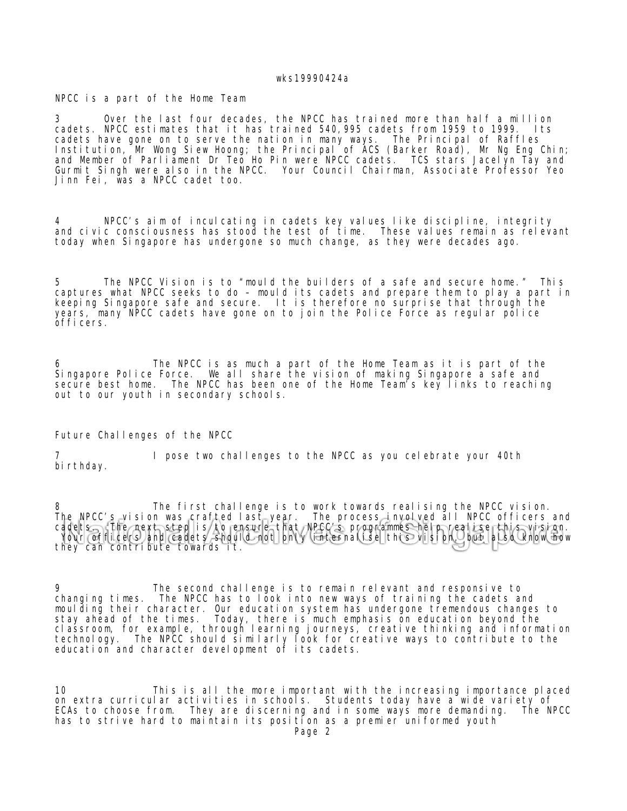## wks19990424a

NPCC is a part of the Home Team

3 Over the last four decades, the NPCC has trained more than half a million cadets. NPCC estimates that it has trained 540,995 cadets from 1959 to 1999. Its cadets have gone on to serve the nation in many ways. The Principal of Raffles Institution, Mr Wong Siew Hoong; the Principal of ACS (Barker Road), Mr Ng Eng Chin; and Member of Parliāment Dr Teō Ho Pin were NPCC cadets. TCS stars Jacelyn Tay and Gurmit Singh were also in the NPCC. Your Council Chairman, Associate Professor Yeo Jinn Fei, was a NPCC cadet too.

4 NPCC's aim of inculcating in cadets key values like discipline, integrity and civic consciousness has stood the test of time. These values remain as relevant today when Singapore has undergone so much change, as they were decades ago.

5 The NPCC Vision is to "mould the builders of a safe and secure home." This captures what NPCC seeks to do – mould its cadets and prepare them to play a part in keeping Singapore safe and secure. It is therefore no surprise that through the years, many NPCC cadets have gone on to join the Police Force as regular police officers.

6 The NPCC is as much a part of the Home Team as it is part of the Singapore Police Force. We all share the vision of making Singapore a safe and secure best home. The NPCC has been one of the Home Team's key links to reaching out to our youth in secondary schools.

Future Challenges of the NPCC

I pose two challenges to the NPCC as you celebrate your 40th birthday.

8 The first challenge is to work towards realising the NPCC vision. The NPCC's vision was crafted last year. The process involved all NPCC officers and cadets. The next step is to ensure that NPCC's programmes help realise this vision. Your officers and cadets should not only internalise this vision, but also know how they can contribute towards it.

9 The second challenge is to remain relevant and responsive to changing times. The NPCC has to look into new ways of training the cadets and moulding their character. Our education system has undergone tremendous changes to stay ahead of the times. Today, there is much emphasis on education beyond the classroom, for example, through learning journeys, creative thinking and information technology. The NPCC should similarly look for creative ways to contribute to the education and character development of its cadets.

10 This is all the more important with the increasing importance placed on extra curricular activities in schools. Students today have a wide variety of ECAs to choose from. They are discerning and in some ways more demanding. The NPCC has to strive hard to maintain its position as a premier uniformed youth